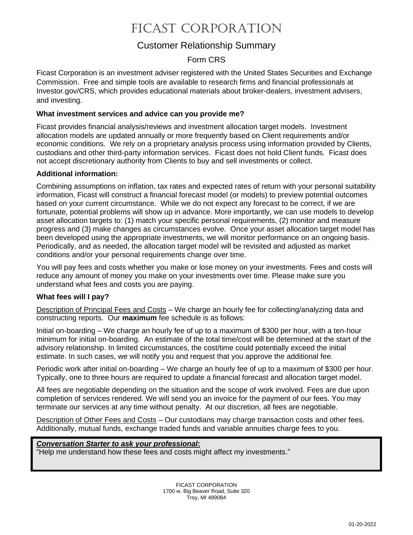# Ficast corporation

## Customer Relationship Summary

### Form CRS

Ficast Corporation is an investment adviser registered with the United States Securities and Exchange Commission. Free and simple tools are available to research firms and financial professionals at Investor.gov/CRS, which provides educational materials about broker-dealers, investment advisers, and investing.

#### **What investment services and advice can you provide me?**

Ficast provides financial analysis/reviews and investment allocation target models. Investment allocation models are updated annually or more frequently based on Client requirements and/or economic conditions. We rely on a proprietary analysis process using information provided by Clients, custodians and other third-party information services. Ficast does not hold Client funds. Ficast does not accept discretionary authority from Clients to buy and sell investments or collect.

#### **Additional information:**

Combining assumptions on inflation, tax rates and expected rates of return with your personal suitability information, Ficast will construct a financial forecast model (or models) to preview potential outcomes based on your current circumstance. While we do not expect any forecast to be correct, if we are fortunate, potential problems will show up in advance. More importantly, we can use models to develop asset allocation targets to: (1) match your specific personal requirements, (2) monitor and measure progress and (3) make changes as circumstances evolve. Once your asset allocation target model has been developed using the appropriate investments, we will monitor performance on an ongoing basis. Periodically, and as needed, the allocation target model will be revisited and adjusted as market conditions and/or your personal requirements change over time.

You will pay fees and costs whether you make or lose money on your investments. Fees and costs will reduce any amount of money you make on your investments over time. Please make sure you understand what fees and costs you are paying.

#### **What fees will I pay?**

Description of Principal Fees and Costs – We charge an hourly fee for collecting/analyzing data and constructing reports. Our **maximum** fee schedule is as follows:

Initial on-boarding – We charge an hourly fee of up to a maximum of \$300 per hour, with a ten-hour minimum for initial on-boarding. An estimate of the total time/cost will be determined at the start of the advisory relationship. In limited circumstances, the cost/time could potentially exceed the initial estimate. In such cases, we will notify you and request that you approve the additional fee.

Periodic work after initial on-boarding – We charge an hourly fee of up to a maximum of \$300 per hour. Typically, one to three hours are required to update a financial forecast and allocation target model.

All fees are negotiable depending on the situation and the scope of work involved. Fees are due upon completion of services rendered. We will send you an invoice for the payment of our fees. You may terminate our services at any time without penalty. At our discretion, all fees are negotiable.

Description of Other Fees and Costs - Our custodians may charge transaction costs and other fees. Additionally, mutual funds, exchange traded funds and variable annuities charge fees to you.

#### *Conversation Starter to ask your professional***:**

"Help me understand how these fees and costs might affect my investments."

FICAST CORPORATION 1700 w. Big Beaver Road, Suite 320 Troy, MI 489084